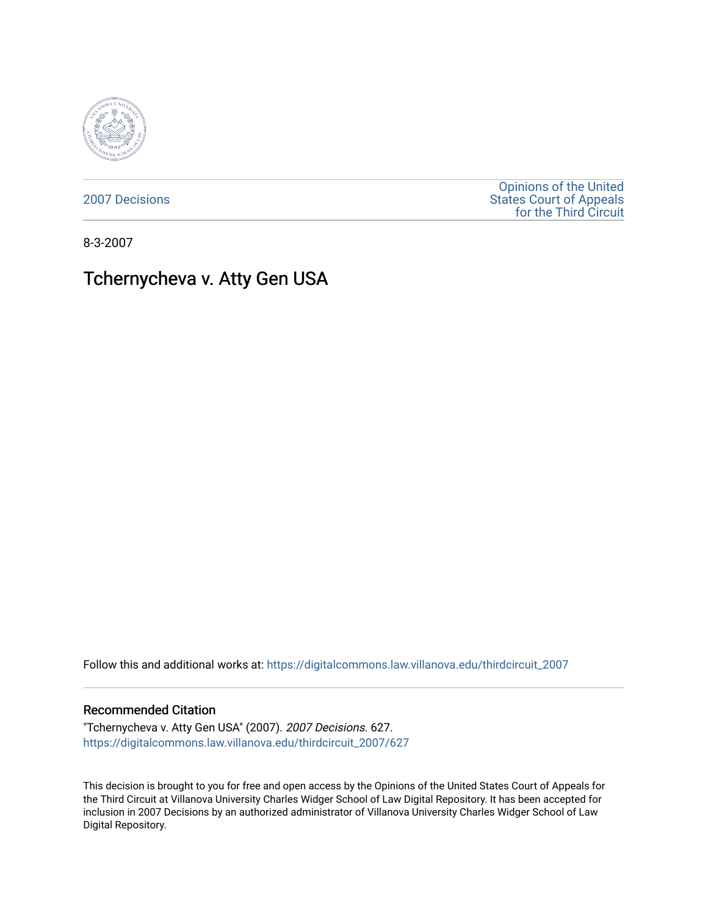

[2007 Decisions](https://digitalcommons.law.villanova.edu/thirdcircuit_2007)

[Opinions of the United](https://digitalcommons.law.villanova.edu/thirdcircuit)  [States Court of Appeals](https://digitalcommons.law.villanova.edu/thirdcircuit)  [for the Third Circuit](https://digitalcommons.law.villanova.edu/thirdcircuit) 

8-3-2007

# Tchernycheva v. Atty Gen USA

Follow this and additional works at: [https://digitalcommons.law.villanova.edu/thirdcircuit\\_2007](https://digitalcommons.law.villanova.edu/thirdcircuit_2007?utm_source=digitalcommons.law.villanova.edu%2Fthirdcircuit_2007%2F627&utm_medium=PDF&utm_campaign=PDFCoverPages) 

#### Recommended Citation

"Tchernycheva v. Atty Gen USA" (2007). 2007 Decisions. 627. [https://digitalcommons.law.villanova.edu/thirdcircuit\\_2007/627](https://digitalcommons.law.villanova.edu/thirdcircuit_2007/627?utm_source=digitalcommons.law.villanova.edu%2Fthirdcircuit_2007%2F627&utm_medium=PDF&utm_campaign=PDFCoverPages)

This decision is brought to you for free and open access by the Opinions of the United States Court of Appeals for the Third Circuit at Villanova University Charles Widger School of Law Digital Repository. It has been accepted for inclusion in 2007 Decisions by an authorized administrator of Villanova University Charles Widger School of Law Digital Repository.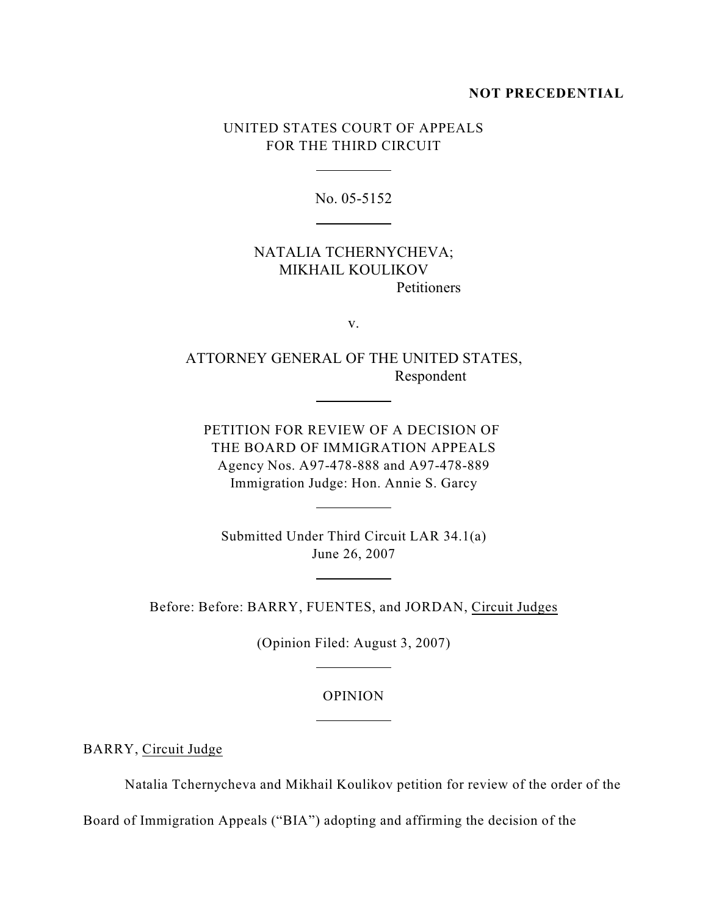### **NOT PRECEDENTIAL**

## UNITED STATES COURT OF APPEALS FOR THE THIRD CIRCUIT

 $\overline{a}$ 

 $\overline{a}$ 

 $\overline{a}$ 

 $\overline{a}$ 

 $\overline{a}$ 

 $\overline{a}$ 

 $\overline{a}$ 

No. 05-5152

## NATALIA TCHERNYCHEVA; MIKHAIL KOULIKOV **Petitioners**

v.

ATTORNEY GENERAL OF THE UNITED STATES, Respondent

PETITION FOR REVIEW OF A DECISION OF THE BOARD OF IMMIGRATION APPEALS Agency Nos. A97-478-888 and A97-478-889 Immigration Judge: Hon. Annie S. Garcy

Submitted Under Third Circuit LAR 34.1(a) June 26, 2007

Before: Before: BARRY, FUENTES, and JORDAN, Circuit Judges

(Opinion Filed: August 3, 2007)

OPINION

BARRY, Circuit Judge

Natalia Tchernycheva and Mikhail Koulikov petition for review of the order of the

Board of Immigration Appeals ("BIA") adopting and affirming the decision of the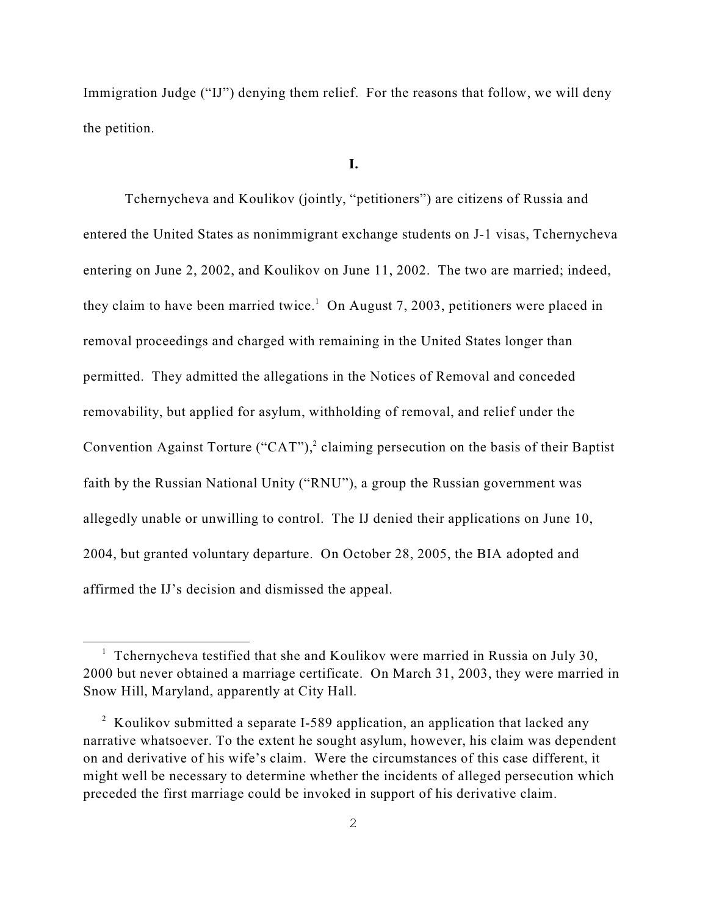Immigration Judge ("IJ") denying them relief. For the reasons that follow, we will deny the petition.

#### **I.**

Tchernycheva and Koulikov (jointly, "petitioners") are citizens of Russia and entered the United States as nonimmigrant exchange students on J-1 visas, Tchernycheva entering on June 2, 2002, and Koulikov on June 11, 2002. The two are married; indeed, they claim to have been married twice.<sup>1</sup> On August 7, 2003, petitioners were placed in removal proceedings and charged with remaining in the United States longer than permitted. They admitted the allegations in the Notices of Removal and conceded removability, but applied for asylum, withholding of removal, and relief under the Convention Against Torture ("CAT"),<sup>2</sup> claiming persecution on the basis of their Baptist faith by the Russian National Unity ("RNU"), a group the Russian government was allegedly unable or unwilling to control. The IJ denied their applications on June 10, 2004, but granted voluntary departure. On October 28, 2005, the BIA adopted and affirmed the IJ's decision and dismissed the appeal.

<sup>&</sup>lt;sup>1</sup> Tchernycheva testified that she and Koulikov were married in Russia on July 30, 2000 but never obtained a marriage certificate. On March 31, 2003, they were married in Snow Hill, Maryland, apparently at City Hall.

<sup>&</sup>lt;sup>2</sup> Koulikov submitted a separate I-589 application, an application that lacked any narrative whatsoever. To the extent he sought asylum, however, his claim was dependent on and derivative of his wife's claim. Were the circumstances of this case different, it might well be necessary to determine whether the incidents of alleged persecution which preceded the first marriage could be invoked in support of his derivative claim.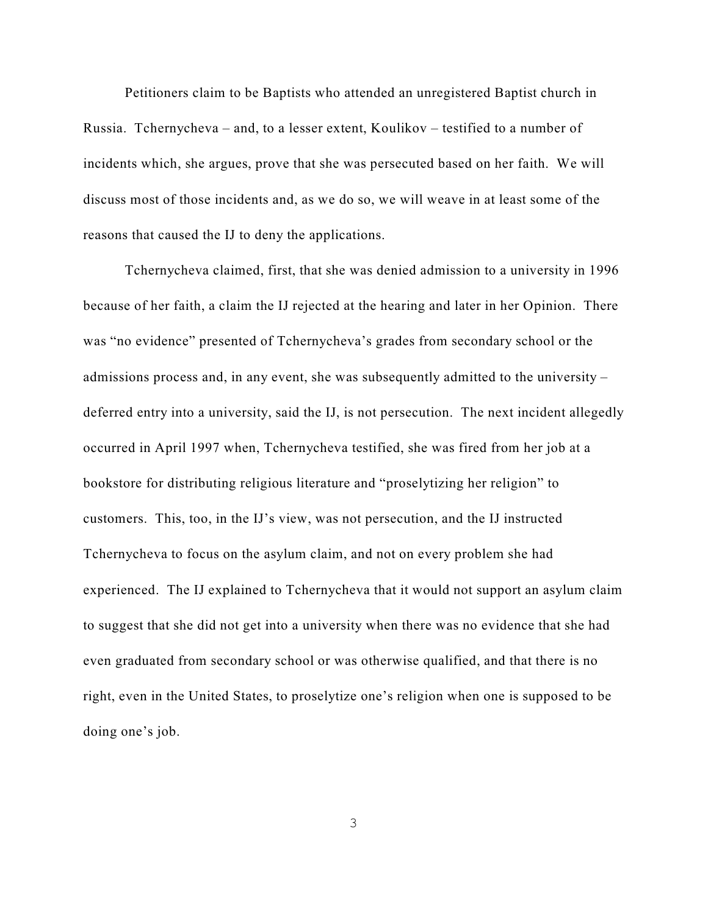Petitioners claim to be Baptists who attended an unregistered Baptist church in Russia. Tchernycheva – and, to a lesser extent, Koulikov – testified to a number of incidents which, she argues, prove that she was persecuted based on her faith. We will discuss most of those incidents and, as we do so, we will weave in at least some of the reasons that caused the IJ to deny the applications.

Tchernycheva claimed, first, that she was denied admission to a university in 1996 because of her faith, a claim the IJ rejected at the hearing and later in her Opinion. There was "no evidence" presented of Tchernycheva's grades from secondary school or the admissions process and, in any event, she was subsequently admitted to the university – deferred entry into a university, said the IJ, is not persecution. The next incident allegedly occurred in April 1997 when, Tchernycheva testified, she was fired from her job at a bookstore for distributing religious literature and "proselytizing her religion" to customers. This, too, in the IJ's view, was not persecution, and the IJ instructed Tchernycheva to focus on the asylum claim, and not on every problem she had experienced. The IJ explained to Tchernycheva that it would not support an asylum claim to suggest that she did not get into a university when there was no evidence that she had even graduated from secondary school or was otherwise qualified, and that there is no right, even in the United States, to proselytize one's religion when one is supposed to be doing one's job.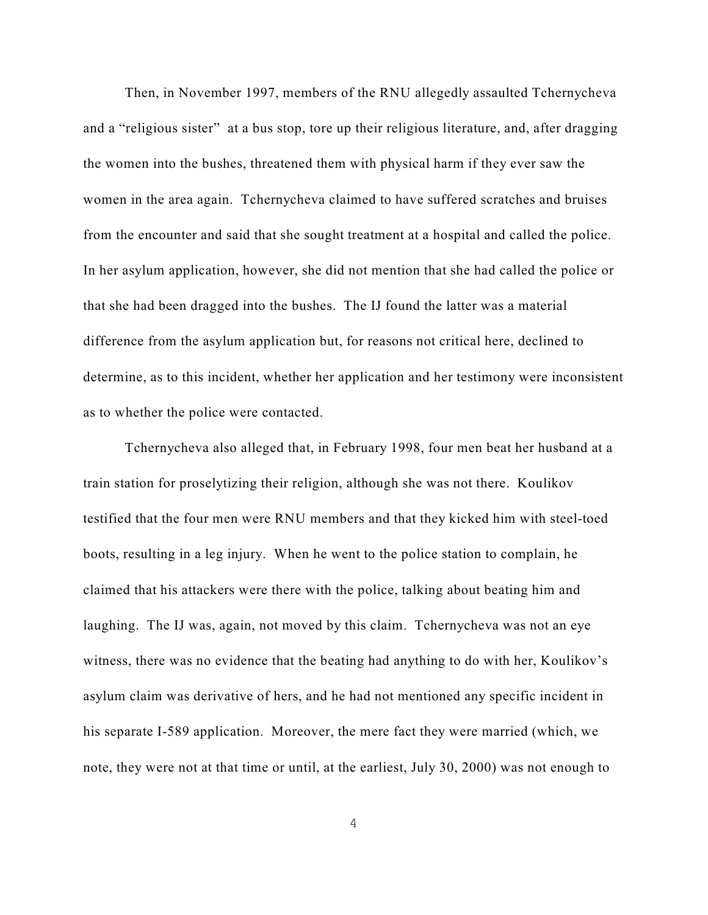Then, in November 1997, members of the RNU allegedly assaulted Tchernycheva and a "religious sister" at a bus stop, tore up their religious literature, and, after dragging the women into the bushes, threatened them with physical harm if they ever saw the women in the area again. Tchernycheva claimed to have suffered scratches and bruises from the encounter and said that she sought treatment at a hospital and called the police. In her asylum application, however, she did not mention that she had called the police or that she had been dragged into the bushes. The IJ found the latter was a material difference from the asylum application but, for reasons not critical here, declined to determine, as to this incident, whether her application and her testimony were inconsistent as to whether the police were contacted.

Tchernycheva also alleged that, in February 1998, four men beat her husband at a train station for proselytizing their religion, although she was not there. Koulikov testified that the four men were RNU members and that they kicked him with steel-toed boots, resulting in a leg injury. When he went to the police station to complain, he claimed that his attackers were there with the police, talking about beating him and laughing. The IJ was, again, not moved by this claim. Tchernycheva was not an eye witness, there was no evidence that the beating had anything to do with her, Koulikov's asylum claim was derivative of hers, and he had not mentioned any specific incident in his separate I-589 application. Moreover, the mere fact they were married (which, we note, they were not at that time or until, at the earliest, July 30, 2000) was not enough to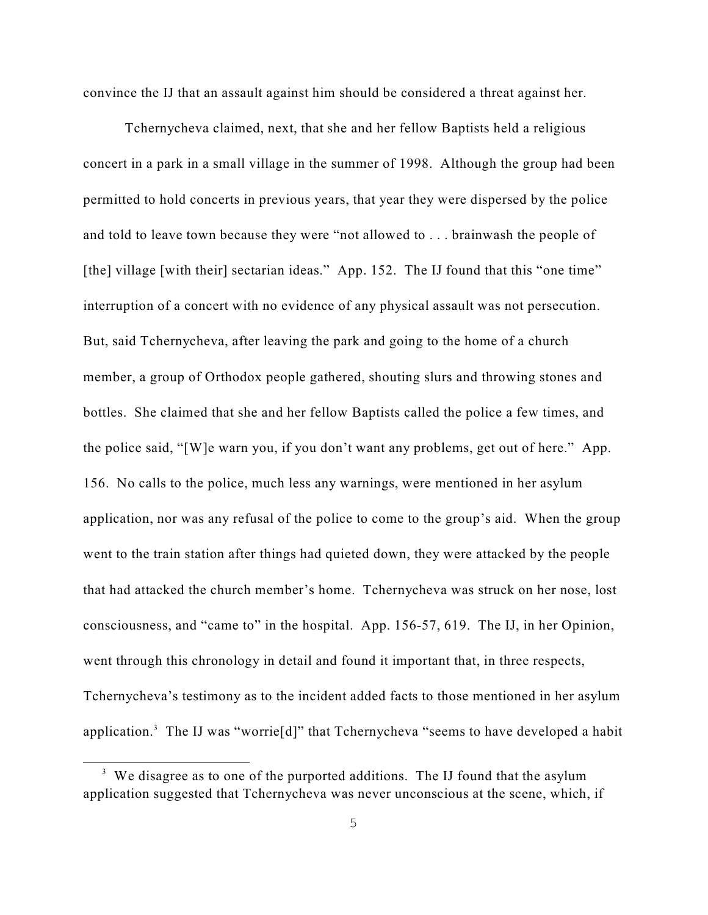convince the IJ that an assault against him should be considered a threat against her.

Tchernycheva claimed, next, that she and her fellow Baptists held a religious concert in a park in a small village in the summer of 1998. Although the group had been permitted to hold concerts in previous years, that year they were dispersed by the police and told to leave town because they were "not allowed to . . . brainwash the people of [the] village [with their] sectarian ideas." App. 152. The IJ found that this "one time" interruption of a concert with no evidence of any physical assault was not persecution. But, said Tchernycheva, after leaving the park and going to the home of a church member, a group of Orthodox people gathered, shouting slurs and throwing stones and bottles. She claimed that she and her fellow Baptists called the police a few times, and the police said, "[W]e warn you, if you don't want any problems, get out of here." App. 156. No calls to the police, much less any warnings, were mentioned in her asylum application, nor was any refusal of the police to come to the group's aid. When the group went to the train station after things had quieted down, they were attacked by the people that had attacked the church member's home. Tchernycheva was struck on her nose, lost consciousness, and "came to" in the hospital. App. 156-57, 619. The IJ, in her Opinion, went through this chronology in detail and found it important that, in three respects, Tchernycheva's testimony as to the incident added facts to those mentioned in her asylum application.<sup>3</sup> The IJ was "worrie<sup>[d]</sup>" that Tchernycheva "seems to have developed a habit

 $3\,$  We disagree as to one of the purported additions. The IJ found that the asylum application suggested that Tchernycheva was never unconscious at the scene, which, if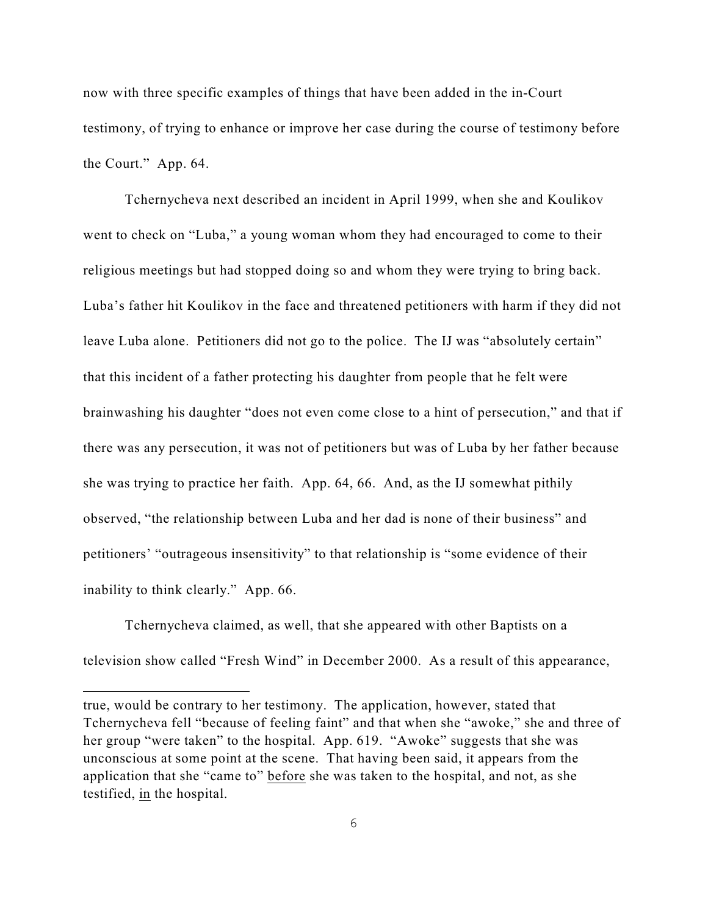now with three specific examples of things that have been added in the in-Court testimony, of trying to enhance or improve her case during the course of testimony before the Court." App. 64.

Tchernycheva next described an incident in April 1999, when she and Koulikov went to check on "Luba," a young woman whom they had encouraged to come to their religious meetings but had stopped doing so and whom they were trying to bring back. Luba's father hit Koulikov in the face and threatened petitioners with harm if they did not leave Luba alone. Petitioners did not go to the police. The IJ was "absolutely certain" that this incident of a father protecting his daughter from people that he felt were brainwashing his daughter "does not even come close to a hint of persecution," and that if there was any persecution, it was not of petitioners but was of Luba by her father because she was trying to practice her faith. App. 64, 66. And, as the IJ somewhat pithily observed, "the relationship between Luba and her dad is none of their business" and petitioners' "outrageous insensitivity" to that relationship is "some evidence of their inability to think clearly." App. 66.

Tchernycheva claimed, as well, that she appeared with other Baptists on a television show called "Fresh Wind" in December 2000. As a result of this appearance,

true, would be contrary to her testimony. The application, however, stated that Tchernycheva fell "because of feeling faint" and that when she "awoke," she and three of her group "were taken" to the hospital. App. 619. "Awoke" suggests that she was unconscious at some point at the scene. That having been said, it appears from the application that she "came to" before she was taken to the hospital, and not, as she testified, in the hospital.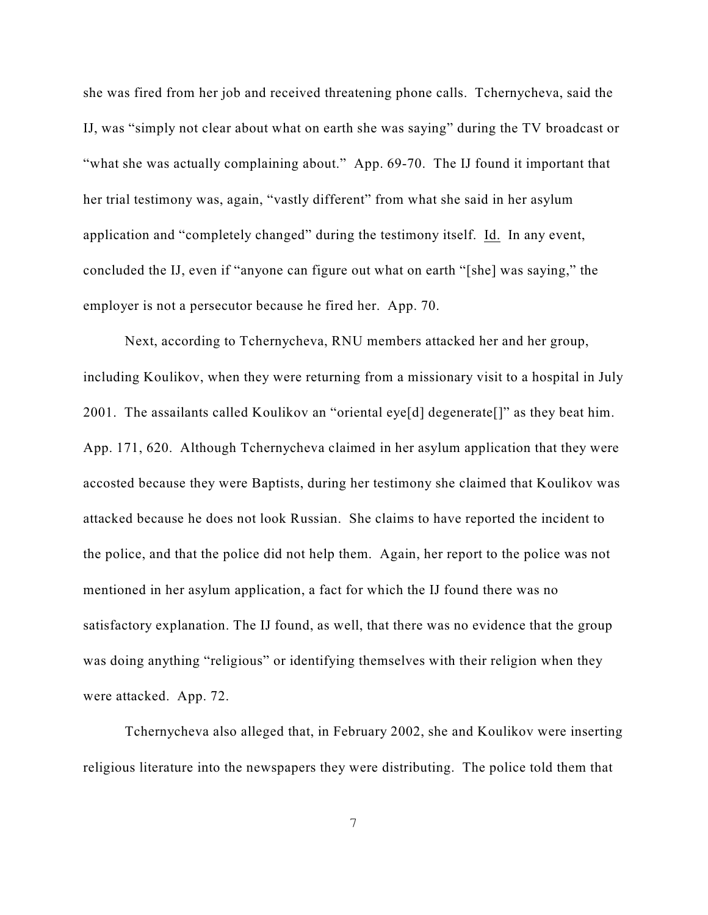she was fired from her job and received threatening phone calls. Tchernycheva, said the IJ, was "simply not clear about what on earth she was saying" during the TV broadcast or "what she was actually complaining about." App. 69-70. The IJ found it important that her trial testimony was, again, "vastly different" from what she said in her asylum application and "completely changed" during the testimony itself. Id. In any event, concluded the IJ, even if "anyone can figure out what on earth "[she] was saying," the employer is not a persecutor because he fired her. App. 70.

Next, according to Tchernycheva, RNU members attacked her and her group, including Koulikov, when they were returning from a missionary visit to a hospital in July 2001. The assailants called Koulikov an "oriental eye[d] degenerate[]" as they beat him. App. 171, 620. Although Tchernycheva claimed in her asylum application that they were accosted because they were Baptists, during her testimony she claimed that Koulikov was attacked because he does not look Russian. She claims to have reported the incident to the police, and that the police did not help them. Again, her report to the police was not mentioned in her asylum application, a fact for which the IJ found there was no satisfactory explanation. The IJ found, as well, that there was no evidence that the group was doing anything "religious" or identifying themselves with their religion when they were attacked. App. 72.

 Tchernycheva also alleged that, in February 2002, she and Koulikov were inserting religious literature into the newspapers they were distributing. The police told them that

7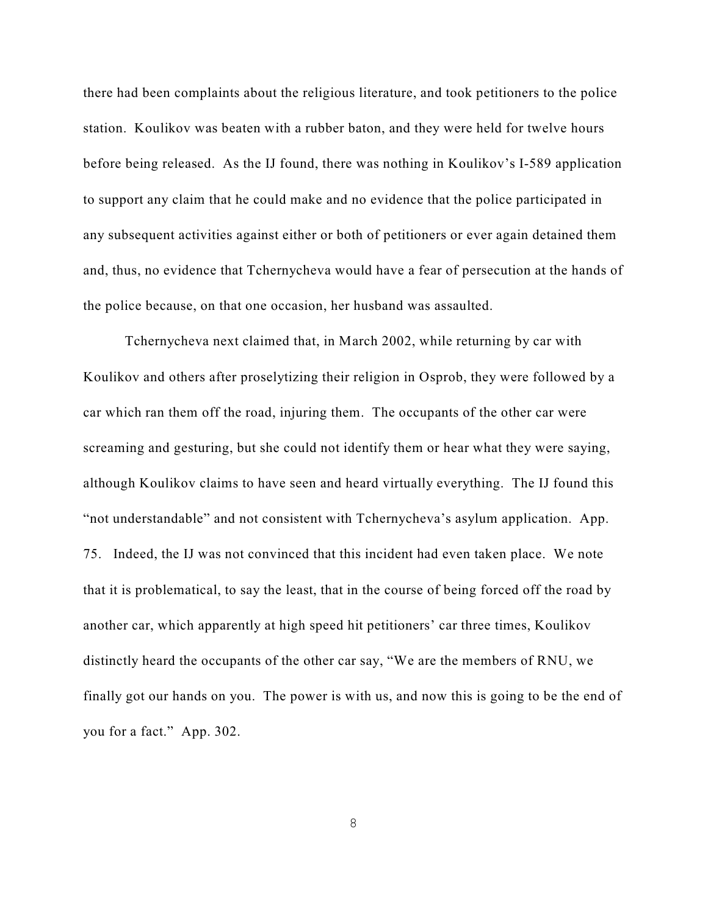there had been complaints about the religious literature, and took petitioners to the police station. Koulikov was beaten with a rubber baton, and they were held for twelve hours before being released. As the IJ found, there was nothing in Koulikov's I-589 application to support any claim that he could make and no evidence that the police participated in any subsequent activities against either or both of petitioners or ever again detained them and, thus, no evidence that Tchernycheva would have a fear of persecution at the hands of the police because, on that one occasion, her husband was assaulted.

Tchernycheva next claimed that, in March 2002, while returning by car with Koulikov and others after proselytizing their religion in Osprob, they were followed by a car which ran them off the road, injuring them. The occupants of the other car were screaming and gesturing, but she could not identify them or hear what they were saying, although Koulikov claims to have seen and heard virtually everything. The IJ found this "not understandable" and not consistent with Tchernycheva's asylum application. App. 75. Indeed, the IJ was not convinced that this incident had even taken place. We note that it is problematical, to say the least, that in the course of being forced off the road by another car, which apparently at high speed hit petitioners' car three times, Koulikov distinctly heard the occupants of the other car say, "We are the members of RNU, we finally got our hands on you. The power is with us, and now this is going to be the end of you for a fact." App. 302.

8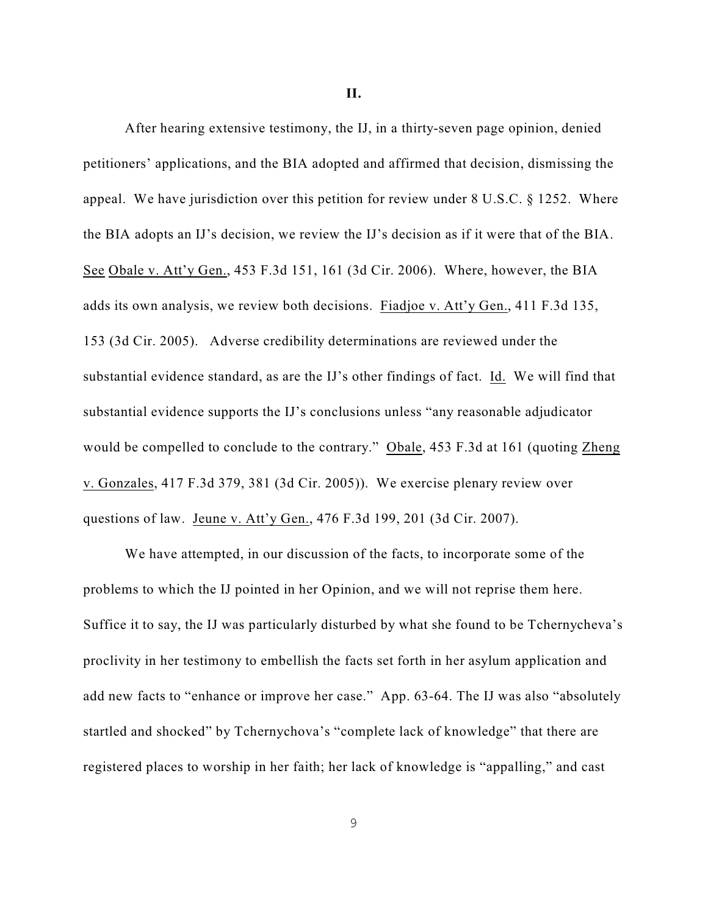**II.**

After hearing extensive testimony, the IJ, in a thirty-seven page opinion, denied petitioners' applications, and the BIA adopted and affirmed that decision, dismissing the appeal. We have jurisdiction over this petition for review under 8 U.S.C. § 1252. Where the BIA adopts an IJ's decision, we review the IJ's decision as if it were that of the BIA. See Obale v. Att'y Gen., 453 F.3d 151, 161 (3d Cir. 2006). Where, however, the BIA adds its own analysis, we review both decisions. Fiadjoe v. Att'y Gen., 411 F.3d 135, 153 (3d Cir. 2005). Adverse credibility determinations are reviewed under the substantial evidence standard, as are the IJ's other findings of fact. Id. We will find that substantial evidence supports the IJ's conclusions unless "any reasonable adjudicator would be compelled to conclude to the contrary." Obale, 453 F.3d at 161 (quoting Zheng v. Gonzales, 417 F.3d 379, 381 (3d Cir. 2005)). We exercise plenary review over questions of law. Jeune v. Att'y Gen., 476 F.3d 199, 201 (3d Cir. 2007).

We have attempted, in our discussion of the facts, to incorporate some of the problems to which the IJ pointed in her Opinion, and we will not reprise them here. Suffice it to say, the IJ was particularly disturbed by what she found to be Tchernycheva's proclivity in her testimony to embellish the facts set forth in her asylum application and add new facts to "enhance or improve her case." App. 63-64. The IJ was also "absolutely startled and shocked" by Tchernychova's "complete lack of knowledge" that there are registered places to worship in her faith; her lack of knowledge is "appalling," and cast

9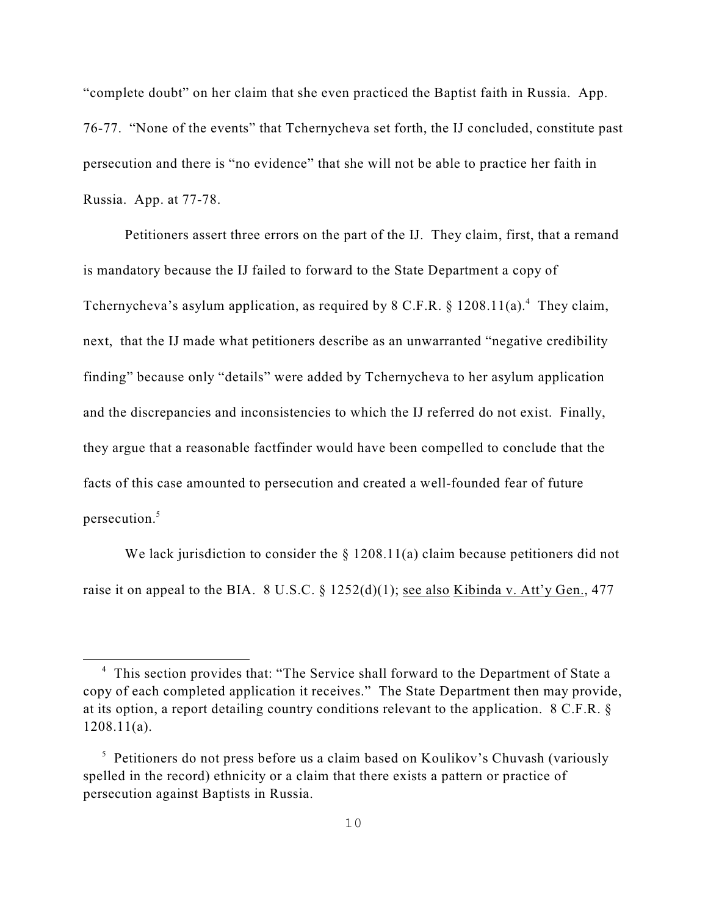"complete doubt" on her claim that she even practiced the Baptist faith in Russia. App. 76-77. "None of the events" that Tchernycheva set forth, the IJ concluded, constitute past persecution and there is "no evidence" that she will not be able to practice her faith in Russia. App. at 77-78.

Petitioners assert three errors on the part of the IJ. They claim, first, that a remand is mandatory because the IJ failed to forward to the State Department a copy of Tchernycheva's asylum application, as required by 8 C.F.R.  $\S$  1208.11(a).<sup>4</sup> They claim, next, that the IJ made what petitioners describe as an unwarranted "negative credibility finding" because only "details" were added by Tchernycheva to her asylum application and the discrepancies and inconsistencies to which the IJ referred do not exist. Finally, they argue that a reasonable factfinder would have been compelled to conclude that the facts of this case amounted to persecution and created a well-founded fear of future persecution.<sup>5</sup>

We lack jurisdiction to consider the  $\S$  1208.11(a) claim because petitioners did not raise it on appeal to the BIA. 8 U.S.C. §  $1252(d)(1)$ ; see also Kibinda v. Att'y Gen., 477

<sup>&</sup>lt;sup>4</sup> This section provides that: "The Service shall forward to the Department of State a copy of each completed application it receives." The State Department then may provide, at its option, a report detailing country conditions relevant to the application. 8 C.F.R. § 1208.11(a).

 $\frac{1}{2}$  Petitioners do not press before us a claim based on Koulikov's Chuvash (variously spelled in the record) ethnicity or a claim that there exists a pattern or practice of persecution against Baptists in Russia.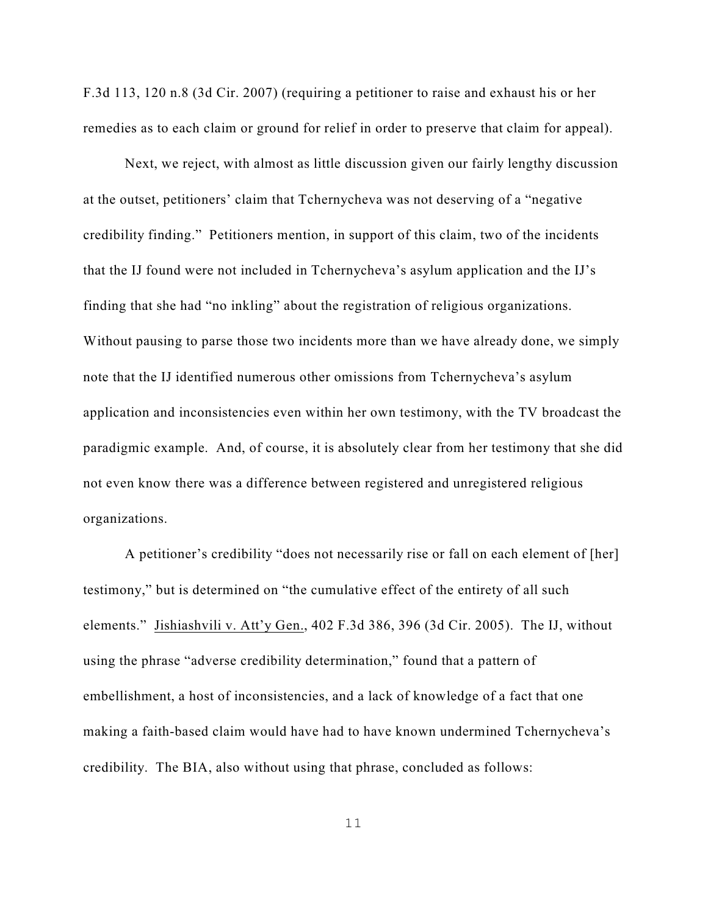F.3d 113, 120 n.8 (3d Cir. 2007) (requiring a petitioner to raise and exhaust his or her remedies as to each claim or ground for relief in order to preserve that claim for appeal).

Next, we reject, with almost as little discussion given our fairly lengthy discussion at the outset, petitioners' claim that Tchernycheva was not deserving of a "negative credibility finding." Petitioners mention, in support of this claim, two of the incidents that the IJ found were not included in Tchernycheva's asylum application and the IJ's finding that she had "no inkling" about the registration of religious organizations. Without pausing to parse those two incidents more than we have already done, we simply note that the IJ identified numerous other omissions from Tchernycheva's asylum application and inconsistencies even within her own testimony, with the TV broadcast the paradigmic example. And, of course, it is absolutely clear from her testimony that she did not even know there was a difference between registered and unregistered religious organizations.

A petitioner's credibility "does not necessarily rise or fall on each element of [her] testimony," but is determined on "the cumulative effect of the entirety of all such elements." Jishiashvili v. Att'y Gen., 402 F.3d 386, 396 (3d Cir. 2005). The IJ, without using the phrase "adverse credibility determination," found that a pattern of embellishment, a host of inconsistencies, and a lack of knowledge of a fact that one making a faith-based claim would have had to have known undermined Tchernycheva's credibility. The BIA, also without using that phrase, concluded as follows: